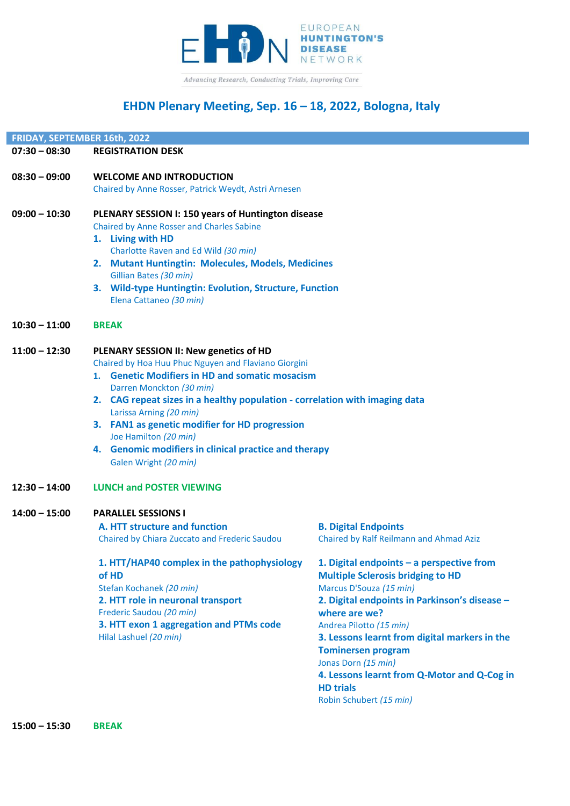

# **EHDN Plenary Meeting, Sep. 16 – 18, 2022, Bologna, Italy**

| FRIDAY, SEPTEMBER 16th, 2022 |                                                                                                        |                                                                |  |
|------------------------------|--------------------------------------------------------------------------------------------------------|----------------------------------------------------------------|--|
| $07:30 - 08:30$              | <b>REGISTRATION DESK</b>                                                                               |                                                                |  |
| $08:30 - 09:00$              | <b>WELCOME AND INTRODUCTION</b>                                                                        |                                                                |  |
|                              | Chaired by Anne Rosser, Patrick Weydt, Astri Arnesen                                                   |                                                                |  |
| $09:00 - 10:30$              | <b>PLENARY SESSION I: 150 years of Huntington disease</b>                                              |                                                                |  |
|                              | Chaired by Anne Rosser and Charles Sabine                                                              |                                                                |  |
|                              | 1. Living with HD                                                                                      |                                                                |  |
|                              | Charlotte Raven and Ed Wild (30 min)                                                                   |                                                                |  |
|                              | 2. Mutant Huntingtin: Molecules, Models, Medicines<br>Gillian Bates (30 min)                           |                                                                |  |
|                              | 3. Wild-type Huntingtin: Evolution, Structure, Function                                                |                                                                |  |
|                              | Elena Cattaneo (30 min)                                                                                |                                                                |  |
| $10:30 - 11:00$              | <b>BREAK</b>                                                                                           |                                                                |  |
| $11:00 - 12:30$              | PLENARY SESSION II: New genetics of HD                                                                 |                                                                |  |
|                              | Chaired by Hoa Huu Phuc Nguyen and Flaviano Giorgini                                                   |                                                                |  |
|                              | 1. Genetic Modifiers in HD and somatic mosacism                                                        |                                                                |  |
|                              | Darren Monckton (30 min)                                                                               |                                                                |  |
|                              | 2. CAG repeat sizes in a healthy population - correlation with imaging data<br>Larissa Arning (20 min) |                                                                |  |
|                              | 3. FAN1 as genetic modifier for HD progression                                                         |                                                                |  |
|                              | Joe Hamilton (20 min)                                                                                  |                                                                |  |
|                              | 4. Genomic modifiers in clinical practice and therapy                                                  |                                                                |  |
|                              | Galen Wright (20 min)                                                                                  |                                                                |  |
| $12:30 - 14:00$              | <b>LUNCH and POSTER VIEWING</b>                                                                        |                                                                |  |
| $14:00 - 15:00$              | <b>PARALLEL SESSIONS I</b>                                                                             |                                                                |  |
|                              | A. HTT structure and function                                                                          | <b>B. Digital Endpoints</b>                                    |  |
|                              | Chaired by Chiara Zuccato and Frederic Saudou                                                          | Chaired by Ralf Reilmann and Ahmad Aziz                        |  |
|                              | 1. HTT/HAP40 complex in the pathophysiology                                                            | 1. Digital endpoints - a perspective from                      |  |
|                              | of HD                                                                                                  | <b>Multiple Sclerosis bridging to HD</b>                       |  |
|                              | Stefan Kochanek (20 min)                                                                               | Marcus D'Souza (15 min)                                        |  |
|                              | 2. HTT role in neuronal transport<br>Frederic Saudou (20 min)                                          | 2. Digital endpoints in Parkinson's disease -<br>where are we? |  |
|                              | 3. HTT exon 1 aggregation and PTMs code                                                                | Andrea Pilotto (15 min)                                        |  |
|                              | Hilal Lashuel (20 min)                                                                                 | 3. Lessons learnt from digital markers in the                  |  |
|                              |                                                                                                        | <b>Tominersen program</b>                                      |  |
|                              |                                                                                                        | Jonas Dorn (15 min)                                            |  |

**4. Lessons learnt from Q-Motor and Q-Cog in HD trials** Robin Schubert *(15 min)*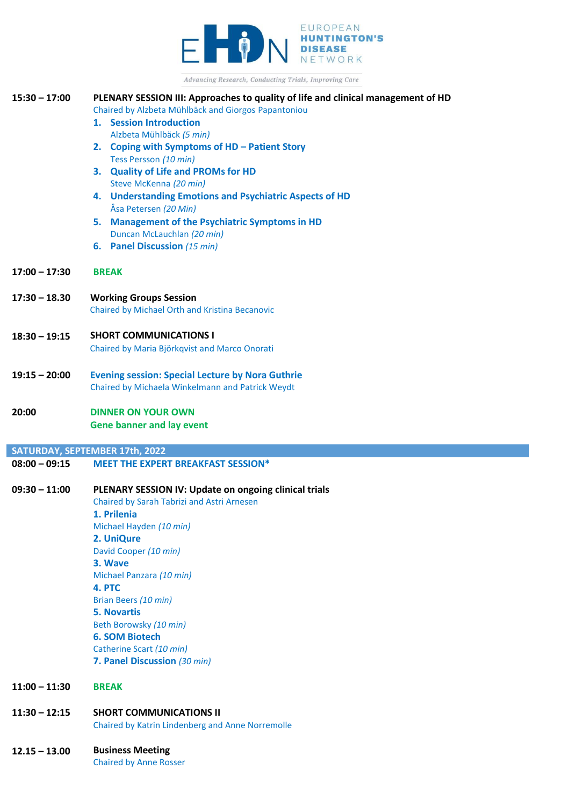

| Advancing Research, Conducting Trials, Improving Care |                                                                                                             |  |  |
|-------------------------------------------------------|-------------------------------------------------------------------------------------------------------------|--|--|
| $15:30 - 17:00$                                       | PLENARY SESSION III: Approaches to quality of life and clinical management of HD                            |  |  |
|                                                       | Chaired by Alzbeta Mühlbäck and Giorgos Papantoniou                                                         |  |  |
|                                                       | 1. Session Introduction                                                                                     |  |  |
|                                                       | Alzbeta Mühlbäck (5 min)                                                                                    |  |  |
|                                                       | 2. Coping with Symptoms of HD - Patient Story<br>Tess Persson (10 min)                                      |  |  |
|                                                       | 3. Quality of Life and PROMs for HD                                                                         |  |  |
|                                                       | Steve McKenna (20 min)                                                                                      |  |  |
|                                                       | 4. Understanding Emotions and Psychiatric Aspects of HD                                                     |  |  |
|                                                       | Åsa Petersen (20 Min)                                                                                       |  |  |
|                                                       | 5. Management of the Psychiatric Symptoms in HD                                                             |  |  |
|                                                       | Duncan McLauchlan (20 min)                                                                                  |  |  |
|                                                       | <b>6.</b> Panel Discussion (15 min)                                                                         |  |  |
| $17:00 - 17:30$                                       | <b>BREAK</b>                                                                                                |  |  |
| $17:30 - 18.30$                                       | <b>Working Groups Session</b>                                                                               |  |  |
|                                                       | Chaired by Michael Orth and Kristina Becanovic                                                              |  |  |
|                                                       |                                                                                                             |  |  |
| $18:30 - 19:15$                                       | <b>SHORT COMMUNICATIONS I</b>                                                                               |  |  |
|                                                       | Chaired by Maria Björkqvist and Marco Onorati                                                               |  |  |
|                                                       |                                                                                                             |  |  |
| $19:15 - 20:00$                                       | <b>Evening session: Special Lecture by Nora Guthrie</b><br>Chaired by Michaela Winkelmann and Patrick Weydt |  |  |
|                                                       |                                                                                                             |  |  |
|                                                       |                                                                                                             |  |  |
| 20:00                                                 | <b>DINNER ON YOUR OWN</b>                                                                                   |  |  |
|                                                       | <b>Gene banner and lay event</b>                                                                            |  |  |
|                                                       |                                                                                                             |  |  |
|                                                       | SATURDAY, SEPTEMBER 17th, 2022                                                                              |  |  |
| $08:00 - 09:15$                                       | <b>MEET THE EXPERT BREAKFAST SESSION*</b>                                                                   |  |  |
| $09:30 - 11:00$                                       |                                                                                                             |  |  |
|                                                       | PLENARY SESSION IV: Update on ongoing clinical trials<br>Chaired by Sarah Tabrizi and Astri Arnesen         |  |  |
|                                                       | 1. Prilenia                                                                                                 |  |  |
|                                                       | Michael Hayden (10 min)                                                                                     |  |  |
|                                                       | 2. UniQure                                                                                                  |  |  |
|                                                       | David Cooper (10 min)                                                                                       |  |  |
|                                                       | 3. Wave                                                                                                     |  |  |
|                                                       | Michael Panzara (10 min)                                                                                    |  |  |
|                                                       | 4. PTC<br>Brian Beers (10 min)                                                                              |  |  |
|                                                       | <b>5. Novartis</b>                                                                                          |  |  |
|                                                       | Beth Borowsky (10 min)                                                                                      |  |  |
|                                                       | <b>6. SOM Biotech</b>                                                                                       |  |  |
|                                                       | Catherine Scart (10 min)                                                                                    |  |  |
|                                                       | 7. Panel Discussion (30 min)                                                                                |  |  |
| $11:00 - 11:30$                                       | <b>BREAK</b>                                                                                                |  |  |
| $11:30 - 12:15$                                       | <b>SHORT COMMUNICATIONS II</b>                                                                              |  |  |

#### **12.15 – 13.00 Business Meeting**

Chaired by Anne Rosser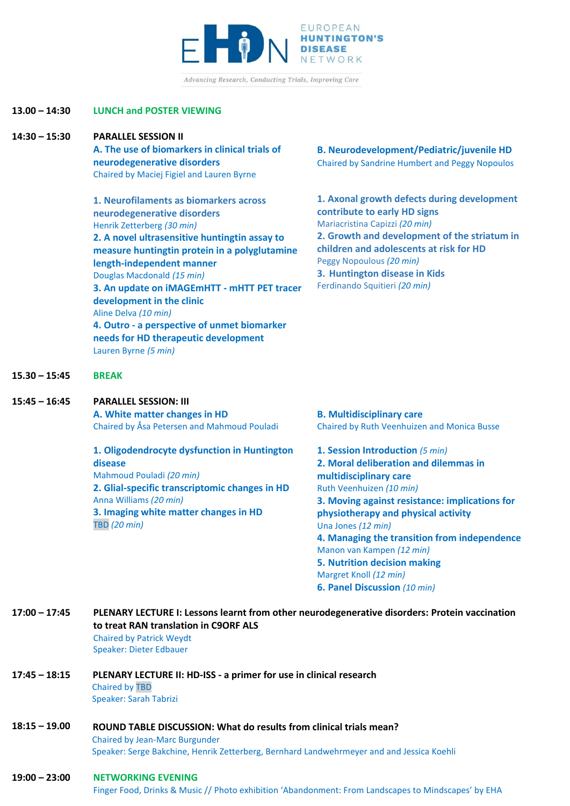

Advancing Research, Conducting Trials, Improving Care

# **13.00 – 14:30 LUNCH and POSTER VIEWING**

**14:30 – 15:30 PARALLEL SESSION II**

**A. The use of biomarkers in clinical trials of neurodegenerative disorders** Chaired by Maciej Figiel and Lauren Byrne

**1. Neurofilaments as biomarkers across neurodegenerative disorders** Henrik Zetterberg *(30 min)* **2. A novel ultrasensitive huntingtin assay to measure huntingtin protein in a polyglutamine length-independent manner** Douglas Macdonald *(15 min)* **3. An update on iMAGEmHTT - mHTT PET tracer development in the clinic** Aline Delva *(10 min)* **4. Outro - a perspective of unmet biomarker needs for HD therapeutic development** Lauren Byrne *(5 min)*

**B. Neurodevelopment/Pediatric/juvenile HD** Chaired by Sandrine Humbert and Peggy Nopoulos

**1. Axonal growth defects during development contribute to early HD signs** Mariacristina Capizzi *(20 min)* **2. Growth and development of the striatum in children and adolescents at risk for HD** Peggy Nopoulous *(20 min)* **3. Huntington disease in Kids** Ferdinando Squitieri *(20 min)*

- **15.30 – 15:45 BREAK**
- **15:45 – 16:45 PARALLEL SESSION: III**

**A. White matter changes in HD** Chaired by Åsa Petersen and Mahmoud Pouladi

**1. Oligodendrocyte dysfunction in Huntington disease** Mahmoud Pouladi *(20 min)* **2. Glial-specific transcriptomic changes in HD** Anna Williams *(20 min)* **3. Imaging white matter changes in HD** TBD *(20 min)*

**B. Multidisciplinary care**  Chaired by Ruth Veenhuizen and Monica Busse

**1. Session Introduction** *(5 min)* **2. Moral deliberation and dilemmas in multidisciplinary care**  Ruth Veenhuizen *(10 min)* **3. Moving against resistance: implications for physiotherapy and physical activity** Una Jones *(12 min)* **4. Managing the transition from independence** Manon van Kampen *(12 min)* **5. Nutrition decision making**  Margret Knoll *(12 min)* **6. Panel Discussion** *(10 min)*

| 17:00 - 17:45 | PLENARY LECTURE I: Lessons learnt from other neurodegenerative disorders: Protein vaccination |  |
|---------------|-----------------------------------------------------------------------------------------------|--|
|               | to treat RAN translation in C9ORF ALS                                                         |  |
|               | <b>Chaired by Patrick Weydt</b>                                                               |  |

Speaker: Dieter Edbauer

#### **17:45 – 18:15 PLENARY LECTURE II: HD-ISS - a primer for use in clinical research** Chaired by TBD Speaker: Sarah Tabrizi

#### **18:15 – 19.00 ROUND TABLE DISCUSSION: What do results from clinical trials mean?** Chaired by Jean-Marc Burgunder Speaker: Serge Bakchine, Henrik Zetterberg, Bernhard Landwehrmeyer and and Jessica Koehli

#### **19:00 – 23:00 NETWORKING EVENING**

Finger Food, Drinks & Music // Photo exhibition 'Abandonment: From Landscapes to Mindscapes' by EHA